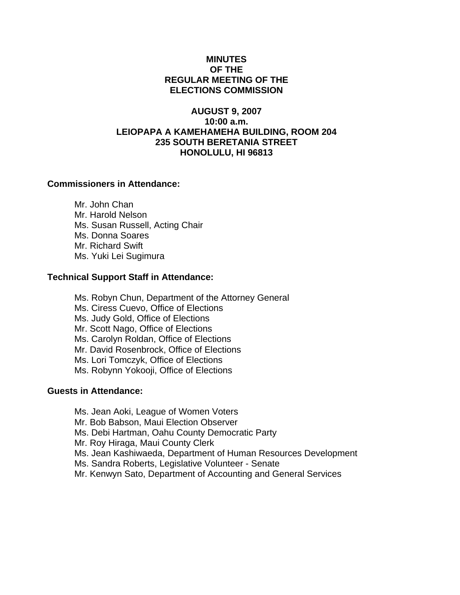# **MINUTES OF THE REGULAR MEETING OF THE ELECTIONS COMMISSION**

# **AUGUST 9, 2007 10:00 a.m. LEIOPAPA A KAMEHAMEHA BUILDING, ROOM 204 235 SOUTH BERETANIA STREET HONOLULU, HI 96813**

## **Commissioners in Attendance:**

 Mr. John Chan Mr. Harold Nelson Ms. Susan Russell, Acting Chair Ms. Donna Soares Mr. Richard Swift Ms. Yuki Lei Sugimura

## **Technical Support Staff in Attendance:**

- Ms. Robyn Chun, Department of the Attorney General Ms. Ciress Cuevo, Office of Elections Ms. Judy Gold, Office of Elections Mr. Scott Nago, Office of Elections Ms. Carolyn Roldan, Office of Elections Mr. David Rosenbrock, Office of Elections Ms. Lori Tomczyk, Office of Elections Ms. Robynn Yokooji, Office of Elections **Guests in Attendance:** 
	- Ms. Jean Aoki, League of Women Voters
	- Mr. Bob Babson, Maui Election Observer
	- Ms. Debi Hartman, Oahu County Democratic Party
	- Mr. Roy Hiraga, Maui County Clerk
	- Ms. Jean Kashiwaeda, Department of Human Resources Development
	- Ms. Sandra Roberts, Legislative Volunteer Senate
	- Mr. Kenwyn Sato, Department of Accounting and General Services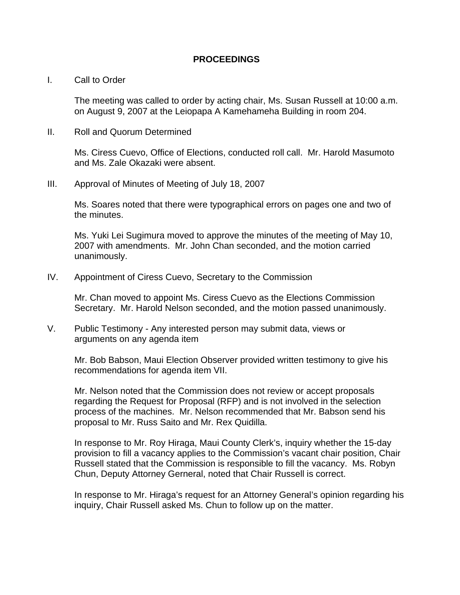### **PROCEEDINGS**

#### I. Call to Order

The meeting was called to order by acting chair, Ms. Susan Russell at 10:00 a.m. on August 9, 2007 at the Leiopapa A Kamehameha Building in room 204.

II. Roll and Quorum Determined

Ms. Ciress Cuevo, Office of Elections, conducted roll call. Mr. Harold Masumoto and Ms. Zale Okazaki were absent.

III. Approval of Minutes of Meeting of July 18, 2007

Ms. Soares noted that there were typographical errors on pages one and two of the minutes.

Ms. Yuki Lei Sugimura moved to approve the minutes of the meeting of May 10, 2007 with amendments. Mr. John Chan seconded, and the motion carried unanimously.

IV. Appointment of Ciress Cuevo, Secretary to the Commission

Mr. Chan moved to appoint Ms. Ciress Cuevo as the Elections Commission Secretary. Mr. Harold Nelson seconded, and the motion passed unanimously.

V. Public Testimony - Any interested person may submit data, views or arguments on any agenda item

Mr. Bob Babson, Maui Election Observer provided written testimony to give his recommendations for agenda item VII.

Mr. Nelson noted that the Commission does not review or accept proposals regarding the Request for Proposal (RFP) and is not involved in the selection process of the machines. Mr. Nelson recommended that Mr. Babson send his proposal to Mr. Russ Saito and Mr. Rex Quidilla.

In response to Mr. Roy Hiraga, Maui County Clerk's, inquiry whether the 15-day provision to fill a vacancy applies to the Commission's vacant chair position, Chair Russell stated that the Commission is responsible to fill the vacancy. Ms. Robyn Chun, Deputy Attorney Gerneral, noted that Chair Russell is correct.

In response to Mr. Hiraga's request for an Attorney General's opinion regarding his inquiry, Chair Russell asked Ms. Chun to follow up on the matter.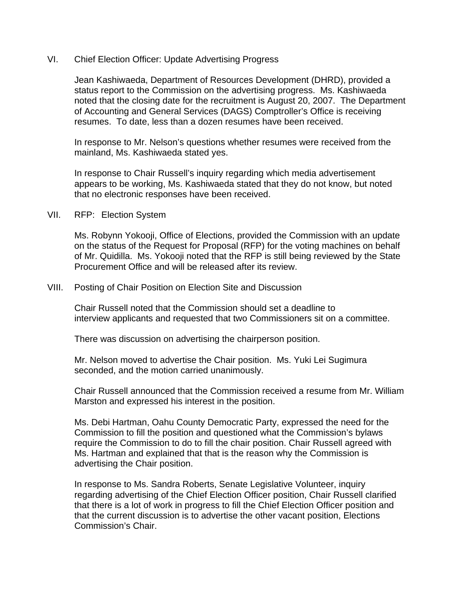## VI. Chief Election Officer: Update Advertising Progress

Jean Kashiwaeda, Department of Resources Development (DHRD), provided a status report to the Commission on the advertising progress. Ms. Kashiwaeda noted that the closing date for the recruitment is August 20, 2007. The Department of Accounting and General Services (DAGS) Comptroller's Office is receiving resumes. To date, less than a dozen resumes have been received.

In response to Mr. Nelson's questions whether resumes were received from the mainland, Ms. Kashiwaeda stated yes.

In response to Chair Russell's inquiry regarding which media advertisement appears to be working, Ms. Kashiwaeda stated that they do not know, but noted that no electronic responses have been received.

VII. RFP: Election System

 Ms. Robynn Yokooji, Office of Elections, provided the Commission with an update on the status of the Request for Proposal (RFP) for the voting machines on behalf of Mr. Quidilla. Ms. Yokooji noted that the RFP is still being reviewed by the State Procurement Office and will be released after its review.

VIII. Posting of Chair Position on Election Site and Discussion

 Chair Russell noted that the Commission should set a deadline to interview applicants and requested that two Commissioners sit on a committee.

There was discussion on advertising the chairperson position.

Mr. Nelson moved to advertise the Chair position. Ms. Yuki Lei Sugimura seconded, and the motion carried unanimously.

 Chair Russell announced that the Commission received a resume from Mr. William Marston and expressed his interest in the position.

Ms. Debi Hartman, Oahu County Democratic Party, expressed the need for the Commission to fill the position and questioned what the Commission's bylaws require the Commission to do to fill the chair position. Chair Russell agreed with Ms. Hartman and explained that that is the reason why the Commission is advertising the Chair position.

In response to Ms. Sandra Roberts, Senate Legislative Volunteer, inquiry regarding advertising of the Chief Election Officer position, Chair Russell clarified that there is a lot of work in progress to fill the Chief Election Officer position and that the current discussion is to advertise the other vacant position, Elections Commission's Chair.